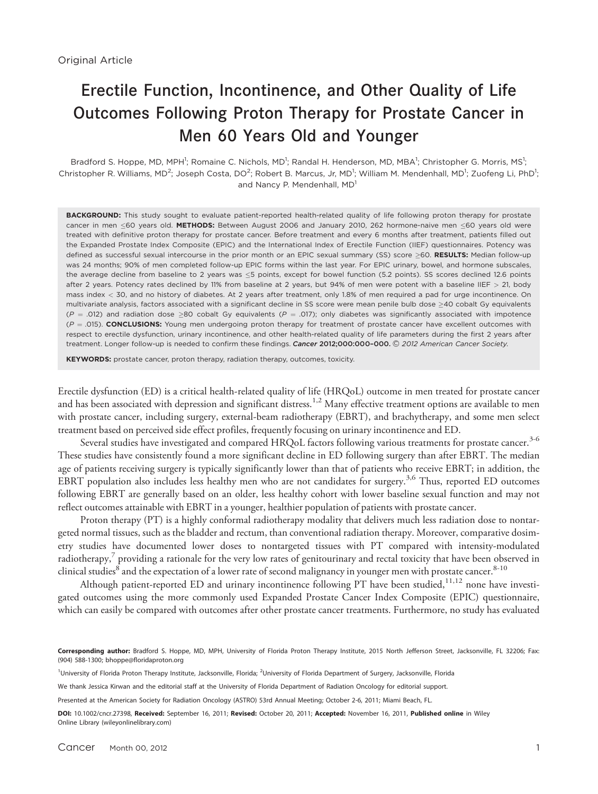# Erectile Function, Incontinence, and Other Quality of Life Outcomes Following Proton Therapy for Prostate Cancer in Men 60 Years Old and Younger

Bradford S. Hoppe, MD, MPH<sup>1</sup>; Romaine C. Nichols, MD<sup>1</sup>; Randal H. Henderson, MD, MBA<sup>1</sup>; Christopher G. Morris, MS<sup>1</sup>; Christopher R. Williams, MD<sup>2</sup>; Joseph Costa, DO<sup>2</sup>; Robert B. Marcus, Jr, MD<sup>1</sup>; William M. Mendenhall, MD<sup>1</sup>; Zuofeng Li, PhD<sup>1</sup>; and Nancy P. Mendenhall, MD<sup>1</sup>

BACKGROUND: This study sought to evaluate patient-reported health-related quality of life following proton therapy for prostate cancer in men <60 years old. METHODS: Between August 2006 and January 2010, 262 hormone-naive men <60 years old were treated with definitive proton therapy for prostate cancer. Before treatment and every 6 months after treatment, patients filled out the Expanded Prostate Index Composite (EPIC) and the International Index of Erectile Function (IIEF) questionnaires. Potency was defined as successful sexual intercourse in the prior month or an EPIC sexual summary (SS) score >60. **RESULTS:** Median follow-up<br>use 24 member 20% of men completed follow up EPIC forms within the last year Ear EPIC winery was 24 months; 90% of men completed follow-up EPIC forms within the last year. For EPIC urinary, bowel, and hormone subscales, the average decline from baseline to 2 years was  $\leq$ 5 points, except for bowel function (5.2 points). SS scores declined 12.6 points after 2 years. Potency rates declined by 11% from baseline at 2 years, but 94% of men were potent with a baseline IIEF > 21, body mass index < 30, and no history of diabetes. At 2 years after treatment, only 1.8% of men required a pad for urge incontinence. On multivariate analysis, factors associated with a significant decline in SS score were mean penile bulb dose  $\geq$ 40 cobalt Gy equivalents  $(P = .012)$  and radiation dose  $\geq 80$  cobalt Gy equivalents  $(P = .017)$ ; only diabetes was significantly associated with impotence  $(P = .015)$ . CONCLUSIONS: Young men undergoing proton therapy for treatment of prostate cancer have excellent outcomes with respect to erectile dysfunction, urinary incontinence, and other health-related quality of life parameters during the first 2 years after treatment. Longer follow-up is needed to confirm these findings. Cancer 2012;000:000-000. C 2012 American Cancer Society.

KEYWORDS: prostate cancer, proton therapy, radiation therapy, outcomes, toxicity.

Erectile dysfunction (ED) is a critical health-related quality of life (HRQoL) outcome in men treated for prostate cancer and has been associated with depression and significant distress.<sup>1,2</sup> Many effective treatment options are available to men with prostate cancer, including surgery, external-beam radiotherapy (EBRT), and brachytherapy, and some men select treatment based on perceived side effect profiles, frequently focusing on urinary incontinence and ED.

Several studies have investigated and compared HRQoL factors following various treatments for prostate cancer.<sup>3-6</sup> These studies have consistently found a more significant decline in ED following surgery than after EBRT. The median age of patients receiving surgery is typically significantly lower than that of patients who receive EBRT; in addition, the EBRT population also includes less healthy men who are not candidates for surgery.<sup>3,6</sup> Thus, reported ED outcomes following EBRT are generally based on an older, less healthy cohort with lower baseline sexual function and may not reflect outcomes attainable with EBRT in a younger, healthier population of patients with prostate cancer.

Proton therapy (PT) is a highly conformal radiotherapy modality that delivers much less radiation dose to nontargeted normal tissues, such as the bladder and rectum, than conventional radiation therapy. Moreover, comparative dosimetry studies have documented lower doses to nontargeted tissues with PT compared with intensity-modulated radiotherapy, $\frac{7}{7}$  providing a rationale for the very low rates of genitourinary and rectal toxicity that have been observed in clinical studies<sup>8</sup> and the expectation of a lower rate of second malignancy in younger men with prostate cancer.<sup>8-10</sup>

Although patient-reported ED and urinary incontinence following PT have been studied,<sup>11,12</sup> none have investigated outcomes using the more commonly used Expanded Prostate Cancer Index Composite (EPIC) questionnaire, which can easily be compared with outcomes after other prostate cancer treatments. Furthermore, no study has evaluated

Corresponding author: Bradford S. Hoppe, MD, MPH, University of Florida Proton Therapy Institute, 2015 North Jefferson Street, Jacksonville, FL 32206; Fax: (904) 588-1300; bhoppe@floridaproton.org

<sup>1</sup>University of Florida Proton Therapy Institute, Jacksonville, Florida; <sup>2</sup>University of Florida Department of Surgery, Jacksonville, Florida

We thank Jessica Kirwan and the editorial staff at the University of Florida Department of Radiation Oncology for editorial support.

Presented at the American Society for Radiation Oncology (ASTRO) 53rd Annual Meeting; October 2-6, 2011; Miami Beach, FL.

DOI: 10.1002/cncr.27398, Received: September 16, 2011; Revised: October 20, 2011; Accepted: November 16, 2011, Published online in Wiley Online Library (wileyonlinelibrary.com)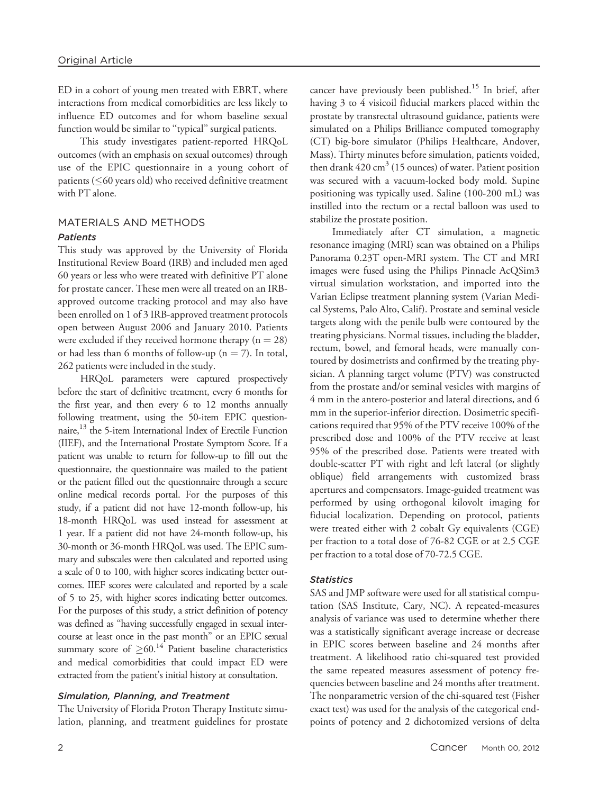ED in a cohort of young men treated with EBRT, where interactions from medical comorbidities are less likely to influence ED outcomes and for whom baseline sexual function would be similar to "typical" surgical patients.

This study investigates patient-reported HRQoL outcomes (with an emphasis on sexual outcomes) through use of the EPIC questionnaire in a young cohort of patients ( $\leq$ 60 years old) who received definitive treatment with PT alone.

# MATERIALS AND METHODS Patients

This study was approved by the University of Florida Institutional Review Board (IRB) and included men aged 60 years or less who were treated with definitive PT alone for prostate cancer. These men were all treated on an IRBapproved outcome tracking protocol and may also have been enrolled on 1 of 3 IRB-approved treatment protocols open between August 2006 and January 2010. Patients were excluded if they received hormone therapy  $(n = 28)$ or had less than 6 months of follow-up ( $n = 7$ ). In total, 262 patients were included in the study.

HRQoL parameters were captured prospectively before the start of definitive treatment, every 6 months for the first year, and then every 6 to 12 months annually following treatment, using the 50-item EPIC questionnaire,<sup>13</sup> the 5-item International Index of Erectile Function (IIEF), and the International Prostate Symptom Score. If a patient was unable to return for follow-up to fill out the questionnaire, the questionnaire was mailed to the patient or the patient filled out the questionnaire through a secure online medical records portal. For the purposes of this study, if a patient did not have 12-month follow-up, his 18-month HRQoL was used instead for assessment at 1 year. If a patient did not have 24-month follow-up, his 30-month or 36-month HRQoL was used. The EPIC summary and subscales were then calculated and reported using a scale of 0 to 100, with higher scores indicating better outcomes. IIEF scores were calculated and reported by a scale of 5 to 25, with higher scores indicating better outcomes. For the purposes of this study, a strict definition of potency was defined as ''having successfully engaged in sexual intercourse at least once in the past month'' or an EPIC sexual summary score of  $\geq 60$ .<sup>14</sup> Patient baseline characteristics and medical comorbidities that could impact ED were extracted from the patient's initial history at consultation.

# Simulation, Planning, and Treatment

The University of Florida Proton Therapy Institute simulation, planning, and treatment guidelines for prostate cancer have previously been published.<sup>15</sup> In brief, after having 3 to 4 visicoil fiducial markers placed within the prostate by transrectal ultrasound guidance, patients were simulated on a Philips Brilliance computed tomography (CT) big-bore simulator (Philips Healthcare, Andover, Mass). Thirty minutes before simulation, patients voided, then drank  $420 \text{ cm}^3$  (15 ounces) of water. Patient position was secured with a vacuum-locked body mold. Supine positioning was typically used. Saline (100-200 mL) was instilled into the rectum or a rectal balloon was used to stabilize the prostate position.

Immediately after CT simulation, a magnetic resonance imaging (MRI) scan was obtained on a Philips Panorama 0.23T open-MRI system. The CT and MRI images were fused using the Philips Pinnacle AcQSim3 virtual simulation workstation, and imported into the Varian Eclipse treatment planning system (Varian Medical Systems, Palo Alto, Calif). Prostate and seminal vesicle targets along with the penile bulb were contoured by the treating physicians. Normal tissues, including the bladder, rectum, bowel, and femoral heads, were manually contoured by dosimetrists and confirmed by the treating physician. A planning target volume (PTV) was constructed from the prostate and/or seminal vesicles with margins of 4 mm in the antero-posterior and lateral directions, and 6 mm in the superior-inferior direction. Dosimetric specifications required that 95% of the PTV receive 100% of the prescribed dose and 100% of the PTV receive at least 95% of the prescribed dose. Patients were treated with double-scatter PT with right and left lateral (or slightly oblique) field arrangements with customized brass apertures and compensators. Image-guided treatment was performed by using orthogonal kilovolt imaging for fiducial localization. Depending on protocol, patients were treated either with 2 cobalt Gy equivalents (CGE) per fraction to a total dose of 76-82 CGE or at 2.5 CGE per fraction to a total dose of 70-72.5 CGE.

# **Statistics**

SAS and JMP software were used for all statistical computation (SAS Institute, Cary, NC). A repeated-measures analysis of variance was used to determine whether there was a statistically significant average increase or decrease in EPIC scores between baseline and 24 months after treatment. A likelihood ratio chi-squared test provided the same repeated measures assessment of potency frequencies between baseline and 24 months after treatment. The nonparametric version of the chi-squared test (Fisher exact test) was used for the analysis of the categorical endpoints of potency and 2 dichotomized versions of delta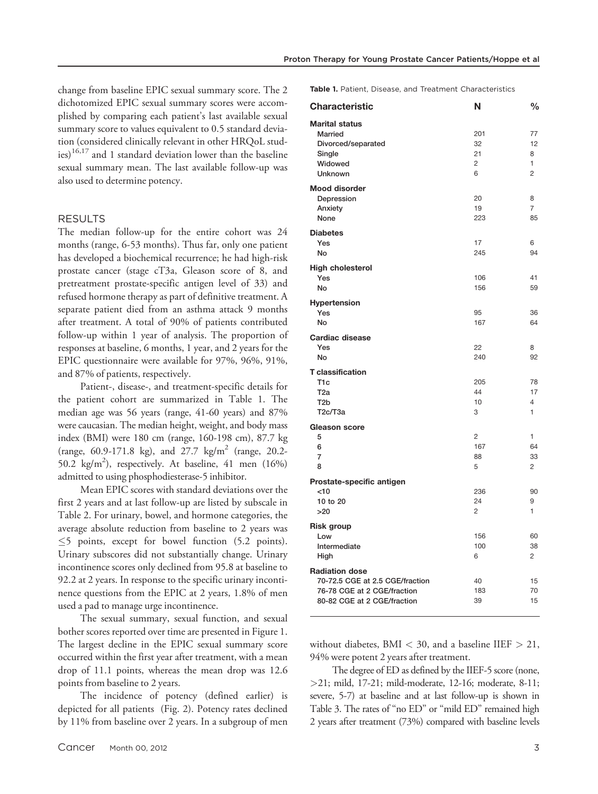change from baseline EPIC sexual summary score. The 2 dichotomized EPIC sexual summary scores were accomplished by comparing each patient's last available sexual summary score to values equivalent to 0.5 standard deviation (considered clinically relevant in other HRQoL studies) $16,17$  and 1 standard deviation lower than the baseline sexual summary mean. The last available follow-up was also used to determine potency.

#### RESULTS

The median follow-up for the entire cohort was 24 months (range, 6-53 months). Thus far, only one patient has developed a biochemical recurrence; he had high-risk prostate cancer (stage cT3a, Gleason score of 8, and pretreatment prostate-specific antigen level of 33) and refused hormone therapy as part of definitive treatment. A separate patient died from an asthma attack 9 months after treatment. A total of 90% of patients contributed follow-up within 1 year of analysis. The proportion of responses at baseline, 6 months, 1 year, and 2 years for the EPIC questionnaire were available for 97%, 96%, 91%, and 87% of patients, respectively.

Patient-, disease-, and treatment-specific details for the patient cohort are summarized in Table 1. The median age was 56 years (range, 41-60 years) and 87% were caucasian. The median height, weight, and body mass index (BMI) were 180 cm (range, 160-198 cm), 87.7 kg (range, 60.9-171.8 kg), and 27.7 kg/m<sup>2</sup> (range, 20.2-50.2  $\text{kg/m}^2$ ), respectively. At baseline, 41 men (16%) admitted to using phosphodiesterase-5 inhibitor.

Mean EPIC scores with standard deviations over the first 2 years and at last follow-up are listed by subscale in Table 2. For urinary, bowel, and hormone categories, the average absolute reduction from baseline to 2 years was  $\leq$ 5 points, except for bowel function (5.2 points). Urinary subscores did not substantially change. Urinary incontinence scores only declined from 95.8 at baseline to 92.2 at 2 years. In response to the specific urinary incontinence questions from the EPIC at 2 years, 1.8% of men used a pad to manage urge incontinence.

The sexual summary, sexual function, and sexual bother scores reported over time are presented in Figure 1. The largest decline in the EPIC sexual summary score occurred within the first year after treatment, with a mean drop of 11.1 points, whereas the mean drop was 12.6 points from baseline to 2 years.

The incidence of potency (defined earlier) is depicted for all patients (Fig. 2). Potency rates declined by 11% from baseline over 2 years. In a subgroup of men Table 1. Patient, Disease, and Treatment Characteristics

| <b>Characteristic</b>                                                                                                  | N                                      | $\frac{0}{0}$                        |
|------------------------------------------------------------------------------------------------------------------------|----------------------------------------|--------------------------------------|
| <b>Marital status</b><br>Married<br>Divorced/separated<br>Single<br>Widowed<br><b>Unknown</b>                          | 201<br>32<br>21<br>$\overline{2}$<br>6 | 77<br>12<br>8<br>1<br>$\overline{2}$ |
| <b>Mood disorder</b><br>Depression<br>Anxiety<br>None                                                                  | 20<br>19<br>223                        | 8<br>$\overline{7}$<br>85            |
| <b>Diabetes</b><br>Yes<br>No                                                                                           | 17<br>245                              | 6<br>94                              |
| <b>High cholesterol</b><br>Yes<br>No                                                                                   | 106<br>156                             | 41<br>59                             |
| <b>Hypertension</b><br>Yes<br>No                                                                                       | 95<br>167                              | 36<br>64                             |
| <b>Cardiac disease</b><br>Yes<br>No                                                                                    | 22<br>240                              | 8<br>92                              |
| <b>T</b> classification<br>T <sub>1c</sub><br>T <sub>2a</sub><br>T <sub>2</sub> b<br>T <sub>2</sub> c/T <sub>3a</sub>  | 205<br>44<br>10<br>3                   | 78<br>17<br>4<br>1                   |
| <b>Gleason score</b><br>5<br>6<br>7<br>8                                                                               | $\overline{c}$<br>167<br>88<br>5       | 1<br>64<br>33<br>$\overline{2}$      |
| Prostate-specific antigen<br>< 10<br>10 to 20<br>>20                                                                   | 236<br>24<br>$\overline{2}$            | 90<br>9<br>1                         |
| <b>Risk group</b><br>Low<br>Intermediate<br>High                                                                       | 156<br>100<br>6                        | 60<br>38<br>$\overline{c}$           |
| <b>Radiation dose</b><br>70-72.5 CGE at 2.5 CGE/fraction<br>76-78 CGE at 2 CGE/fraction<br>80-82 CGE at 2 CGE/fraction | 40<br>183<br>39                        | 15<br>70<br>15                       |

without diabetes,  $BMI < 30$ , and a baseline IIEF  $> 21$ , 94% were potent 2 years after treatment.

The degree of ED as defined by the IIEF-5 score (none, >21; mild, 17-21; mild-moderate, 12-16; moderate, 8-11; severe, 5-7) at baseline and at last follow-up is shown in Table 3. The rates of "no ED" or "mild ED" remained high 2 years after treatment (73%) compared with baseline levels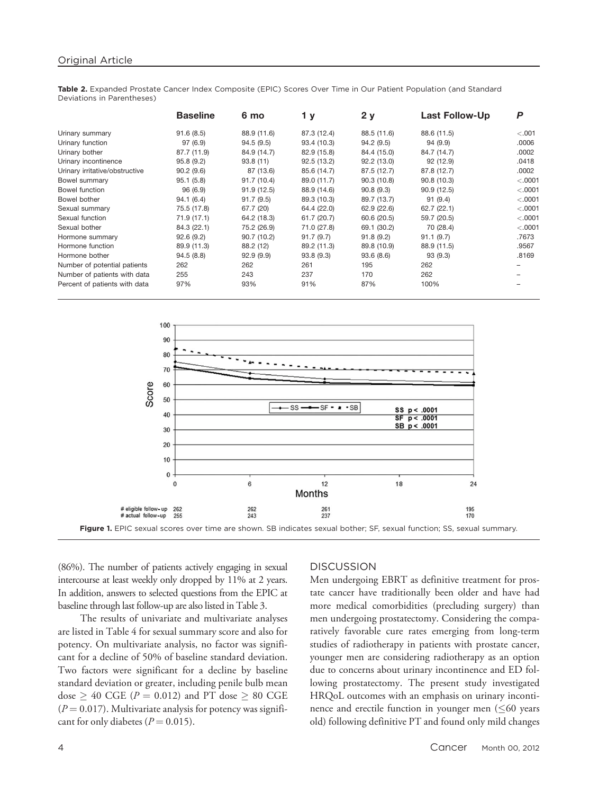Table 2. Expanded Prostate Cancer Index Composite (EPIC) Scores Over Time in Our Patient Population (and Standard Deviations in Parentheses)

|                                | <b>Baseline</b> | 6 mo        | 1у          | 2y          | <b>Last Follow-Up</b> | P       |
|--------------------------------|-----------------|-------------|-------------|-------------|-----------------------|---------|
| Urinary summary                | 91.6(8.5)       | 88.9 (11.6) | 87.3 (12.4) | 88.5 (11.6) | 88.6 (11.5)           | < 0.001 |
| Urinary function               | 97(6.9)         | 94.5(9.5)   | 93.4 (10.3) | 94.2(9.5)   | 94 (9.9)              | .0006   |
| Urinary bother                 | 87.7 (11.9)     | 84.9 (14.7) | 82.9 (15.8) | 84.4 (15.0) | 84.7 (14.7)           | .0002   |
| Urinary incontinence           | 95.8(9.2)       | 93.8(11)    | 92.5(13.2)  | 92.2 (13.0) | 92 (12.9)             | .0418   |
| Urinary irritative/obstructive | 90.2(9.6)       | 87 (13.6)   | 85.6 (14.7) | 87.5 (12.7) | 87.8 (12.7)           | .0002   |
| Bowel summary                  | 95.1(5.8)       | 91.7(10.4)  | 89.0 (11.7) | 90.3 (10.8) | 90.8(10.3)            | < .0001 |
| Bowel function                 | 96(6.9)         | 91.9(12.5)  | 88.9 (14.6) | 90.8(9.3)   | 90.9(12.5)            | < .0001 |
| Bowel bother                   | 94.1(6.4)       | 91.7(9.5)   | 89.3 (10.3) | 89.7 (13.7) | 91(9.4)               | < .0001 |
| Sexual summary                 | 75.5 (17.8)     | 67.7 (20)   | 64.4 (22.0) | 62.9 (22.6) | 62.7(22.1)            | < .0001 |
| Sexual function                | 71.9 (17.1)     | 64.2 (18.3) | 61.7 (20.7) | 60.6 (20.5) | 59.7 (20.5)           | < .0001 |
| Sexual bother                  | 84.3 (22.1)     | 75.2 (26.9) | 71.0 (27.8) | 69.1 (30.2) | 70 (28.4)             | < .0001 |
| Hormone summary                | 92.6(9.2)       | 90.7(10.2)  | 91.7(9.7)   | 91.8(9.2)   | 91.1(9.7)             | .7673   |
| Hormone function               | 89.9 (11.3)     | 88.2 (12)   | 89.2 (11.3) | 89.8 (10.9) | 88.9 (11.5)           | .9567   |
| Hormone bother                 | 94.5(8.8)       | 92.9(9.9)   | 93.8(9.3)   | 93.6(8.6)   | 93(9.3)               | .8169   |
| Number of potential patients   | 262             | 262         | 261         | 195         | 262                   |         |
| Number of patients with data   | 255             | 243         | 237         | 170         | 262                   |         |
| Percent of patients with data  | 97%             | 93%         | 91%         | 87%         | 100%                  |         |



(86%). The number of patients actively engaging in sexual intercourse at least weekly only dropped by 11% at 2 years. In addition, answers to selected questions from the EPIC at baseline through last follow-up are also listed in Table 3.

The results of univariate and multivariate analyses are listed in Table 4 for sexual summary score and also for potency. On multivariate analysis, no factor was significant for a decline of 50% of baseline standard deviation. Two factors were significant for a decline by baseline standard deviation or greater, including penile bulb mean dose  $\geq 40$  CGE ( $P = 0.012$ ) and PT dose  $\geq 80$  CGE  $(P = 0.017)$ . Multivariate analysis for potency was significant for only diabetes ( $P = 0.015$ ).

## **DISCUSSION**

Men undergoing EBRT as definitive treatment for prostate cancer have traditionally been older and have had more medical comorbidities (precluding surgery) than men undergoing prostatectomy. Considering the comparatively favorable cure rates emerging from long-term studies of radiotherapy in patients with prostate cancer, younger men are considering radiotherapy as an option due to concerns about urinary incontinence and ED following prostatectomy. The present study investigated HRQoL outcomes with an emphasis on urinary incontinence and erectile function in younger men  $(60$  years old) following definitive PT and found only mild changes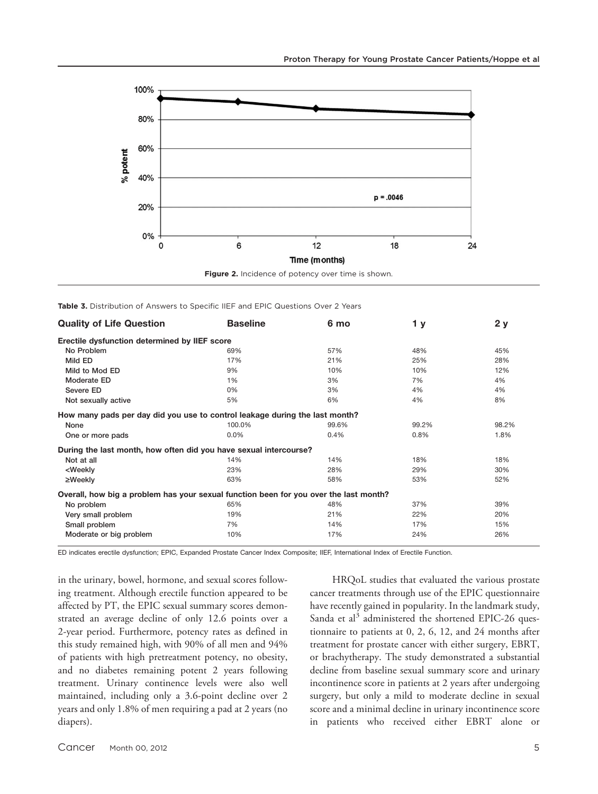



Table 3. Distribution of Answers to Specific IIEF and EPIC Questions Over 2 Years

| <b>Quality of Life Question</b>                                                       | <b>Baseline</b> | 6 mo  | 1 <sub>y</sub> | 2y    |  |  |
|---------------------------------------------------------------------------------------|-----------------|-------|----------------|-------|--|--|
| Erectile dysfunction determined by IIEF score                                         |                 |       |                |       |  |  |
| No Problem                                                                            | 69%             | 57%   | 48%            | 45%   |  |  |
| Mild ED                                                                               | 17%             | 21%   | 25%            | 28%   |  |  |
| Mild to Mod ED                                                                        | 9%              | 10%   | 10%            | 12%   |  |  |
| Moderate ED                                                                           | 1%              | 3%    | 7%             | 4%    |  |  |
| Severe ED                                                                             | 0%              | 3%    | 4%             | 4%    |  |  |
| Not sexually active                                                                   | 5%              | 6%    | 4%             | 8%    |  |  |
| How many pads per day did you use to control leakage during the last month?           |                 |       |                |       |  |  |
| None                                                                                  | 100.0%          | 99.6% | 99.2%          | 98.2% |  |  |
| One or more pads                                                                      | 0.0%            | 0.4%  | 0.8%           | 1.8%  |  |  |
| During the last month, how often did you have sexual intercourse?                     |                 |       |                |       |  |  |
| Not at all                                                                            | 14%             | 14%   | 18%            | 18%   |  |  |
| <weekly< td=""><td>23%</td><td>28%</td><td>29%</td><td>30%</td></weekly<>             | 23%             | 28%   | 29%            | 30%   |  |  |
| $\geq$ Weekly                                                                         | 63%             | 58%   | 53%            | 52%   |  |  |
| Overall, how big a problem has your sexual function been for you over the last month? |                 |       |                |       |  |  |
| No problem                                                                            | 65%             | 48%   | 37%            | 39%   |  |  |
| Very small problem                                                                    | 19%             | 21%   | 22%            | 20%   |  |  |
| Small problem                                                                         | 7%              | 14%   | 17%            | 15%   |  |  |
| Moderate or big problem                                                               | 10%             | 17%   | 24%            | 26%   |  |  |

ED indicates erectile dysfunction; EPIC, Expanded Prostate Cancer Index Composite; IIEF, International Index of Erectile Function.

in the urinary, bowel, hormone, and sexual scores following treatment. Although erectile function appeared to be affected by PT, the EPIC sexual summary scores demonstrated an average decline of only 12.6 points over a 2-year period. Furthermore, potency rates as defined in this study remained high, with 90% of all men and 94% of patients with high pretreatment potency, no obesity, and no diabetes remaining potent 2 years following treatment. Urinary continence levels were also well maintained, including only a 3.6-point decline over 2 years and only 1.8% of men requiring a pad at 2 years (no diapers).

HRQoL studies that evaluated the various prostate cancer treatments through use of the EPIC questionnaire have recently gained in popularity. In the landmark study, Sanda et al<sup>3</sup> administered the shortened EPIC-26 questionnaire to patients at 0, 2, 6, 12, and 24 months after treatment for prostate cancer with either surgery, EBRT, or brachytherapy. The study demonstrated a substantial decline from baseline sexual summary score and urinary incontinence score in patients at 2 years after undergoing surgery, but only a mild to moderate decline in sexual score and a minimal decline in urinary incontinence score in patients who received either EBRT alone or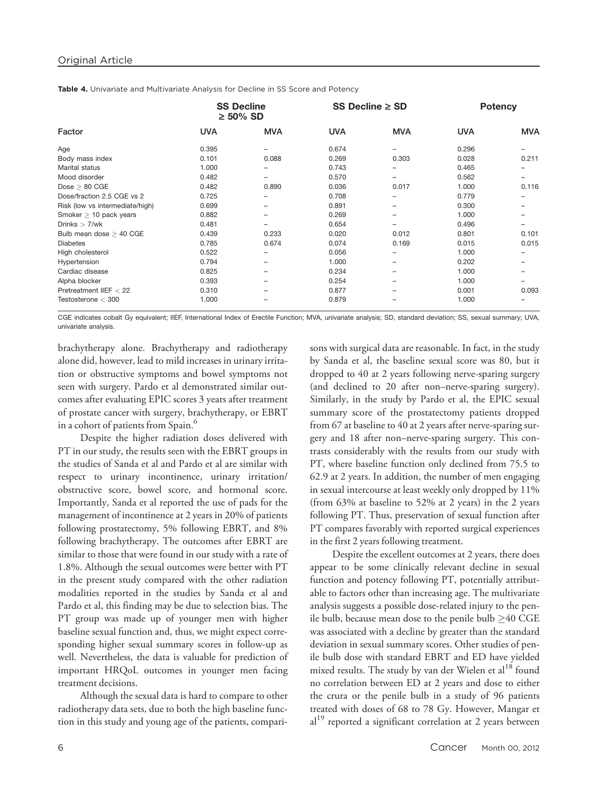Table 4. Univariate and Multivariate Analysis for Decline in SS Score and Potency

| Factor                          | <b>SS Decline</b><br>$\geq 50\%$ SD |            | SS Decline $\geq$ SD |            | <b>Potency</b> |            |
|---------------------------------|-------------------------------------|------------|----------------------|------------|----------------|------------|
|                                 | <b>UVA</b>                          | <b>MVA</b> | <b>UVA</b>           | <b>MVA</b> | <b>UVA</b>     | <b>MVA</b> |
| Age                             | 0.395                               |            | 0.674                | -          | 0.296          |            |
| Body mass index                 | 0.101                               | 0.088      | 0.269                | 0.303      | 0.028          | 0.211      |
| Marital status                  | 1.000                               |            | 0.743                |            | 0.465          |            |
| Mood disorder                   | 0.482                               | -          | 0.570                | -          | 0.562          | -          |
| $Dose \geq 80$ CGE              | 0.482                               | 0.890      | 0.036                | 0.017      | 1.000          | 0.116      |
| Dose/fraction 2.5 CGE vs 2      | 0.725                               |            | 0.708                |            | 0.779          |            |
| Risk (low vs intermediate/high) | 0.699                               | -          | 0.891                | -          | 0.300          |            |
| Smoker $\geq$ 10 pack years     | 0.882                               | -          | 0.269                | -          | 1.000          |            |
| Drinks $> 7$ /wk                | 0.481                               |            | 0.654                |            | 0.496          |            |
| Bulb mean dose $\geq$ 40 CGE    | 0.439                               | 0.233      | 0.020                | 0.012      | 0.801          | 0.101      |
| <b>Diabetes</b>                 | 0.785                               | 0.674      | 0.074                | 0.169      | 0.015          | 0.015      |
| High cholesterol                | 0.522                               | -          | 0.056                |            | 1.000          |            |
| Hypertension                    | 0.794                               | -          | 1.000                | -          | 0.202          |            |
| Cardiac disease                 | 0.825                               |            | 0.234                |            | 1.000          |            |
| Alpha blocker                   | 0.393                               |            | 0.254                |            | 1.000          |            |
| Pretreatment IIEF $<$ 22        | 0.310                               |            | 0.877                |            | 0.001          | 0.093      |
| Testosterone $<$ 300            | 1.000                               |            | 0.879                |            | 1.000          |            |

CGE indicates cobalt Gy equivalent; IIEF, International Index of Erectile Function; MVA, univariate analysis; SD, standard deviation; SS, sexual summary; UVA, univariate analysis.

brachytherapy alone. Brachytherapy and radiotherapy alone did, however, lead to mild increases in urinary irritation or obstructive symptoms and bowel symptoms not seen with surgery. Pardo et al demonstrated similar outcomes after evaluating EPIC scores 3 years after treatment of prostate cancer with surgery, brachytherapy, or EBRT in a cohort of patients from Spain.<sup>6</sup>

Despite the higher radiation doses delivered with PT in our study, the results seen with the EBRT groups in the studies of Sanda et al and Pardo et al are similar with respect to urinary incontinence, urinary irritation/ obstructive score, bowel score, and hormonal score. Importantly, Sanda et al reported the use of pads for the management of incontinence at 2 years in 20% of patients following prostatectomy, 5% following EBRT, and 8% following brachytherapy. The outcomes after EBRT are similar to those that were found in our study with a rate of 1.8%. Although the sexual outcomes were better with PT in the present study compared with the other radiation modalities reported in the studies by Sanda et al and Pardo et al, this finding may be due to selection bias. The PT group was made up of younger men with higher baseline sexual function and, thus, we might expect corresponding higher sexual summary scores in follow-up as well. Nevertheless, the data is valuable for prediction of important HRQoL outcomes in younger men facing treatment decisions.

Although the sexual data is hard to compare to other radiotherapy data sets, due to both the high baseline function in this study and young age of the patients, comparisons with surgical data are reasonable. In fact, in the study by Sanda et al, the baseline sexual score was 80, but it dropped to 40 at 2 years following nerve-sparing surgery (and declined to 20 after non–nerve-sparing surgery). Similarly, in the study by Pardo et al, the EPIC sexual summary score of the prostatectomy patients dropped from 67 at baseline to 40 at 2 years after nerve-sparing surgery and 18 after non–nerve-sparing surgery. This contrasts considerably with the results from our study with PT, where baseline function only declined from 75.5 to 62.9 at 2 years. In addition, the number of men engaging in sexual intercourse at least weekly only dropped by 11% (from 63% at baseline to 52% at 2 years) in the 2 years following PT. Thus, preservation of sexual function after PT compares favorably with reported surgical experiences in the first 2 years following treatment.

Despite the excellent outcomes at 2 years, there does appear to be some clinically relevant decline in sexual function and potency following PT, potentially attributable to factors other than increasing age. The multivariate analysis suggests a possible dose-related injury to the penile bulb, because mean dose to the penile bulb  $\geq$ 40 CGE was associated with a decline by greater than the standard deviation in sexual summary scores. Other studies of penile bulb dose with standard EBRT and ED have yielded mixed results. The study by van der Wielen et  $al^{18}$  found no correlation between ED at 2 years and dose to either the crura or the penile bulb in a study of 96 patients treated with doses of 68 to 78 Gy. However, Mangar et al<sup>19</sup> reported a significant correlation at 2 years between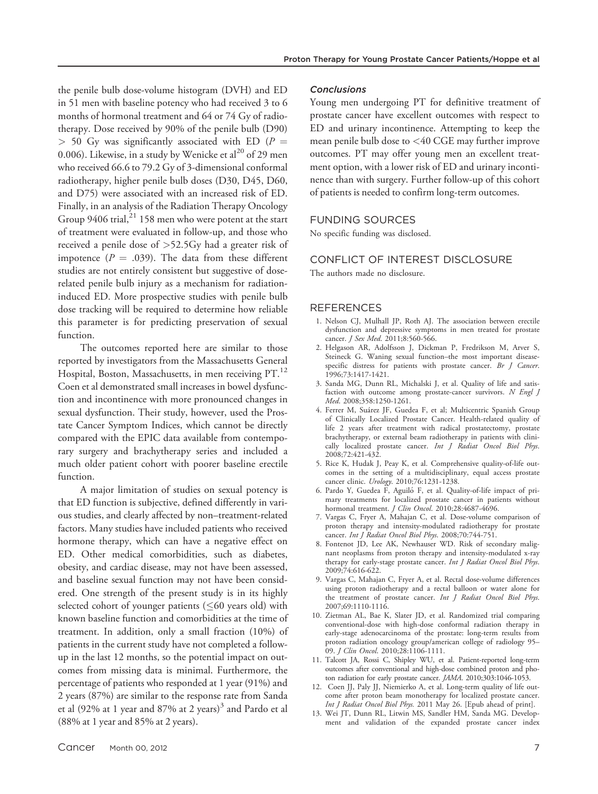the penile bulb dose-volume histogram (DVH) and ED in 51 men with baseline potency who had received 3 to 6 months of hormonal treatment and 64 or 74 Gy of radiotherapy. Dose received by 90% of the penile bulb (D90)  $> 50$  Gy was significantly associated with ED ( $P =$ 0.006). Likewise, in a study by Wenicke et al $^{20}$  of 29 men who received 66.6 to 79.2 Gy of 3-dimensional conformal radiotherapy, higher penile bulb doses (D30, D45, D60, and D75) were associated with an increased risk of ED. Finally, in an analysis of the Radiation Therapy Oncology Group  $9406$  trial,<sup>21</sup> 158 men who were potent at the start of treatment were evaluated in follow-up, and those who received a penile dose of >52.5Gy had a greater risk of impotence ( $P = .039$ ). The data from these different studies are not entirely consistent but suggestive of doserelated penile bulb injury as a mechanism for radiationinduced ED. More prospective studies with penile bulb dose tracking will be required to determine how reliable this parameter is for predicting preservation of sexual function.

The outcomes reported here are similar to those reported by investigators from the Massachusetts General Hospital, Boston, Massachusetts, in men receiving PT.<sup>12</sup> Coen et al demonstrated small increases in bowel dysfunction and incontinence with more pronounced changes in sexual dysfunction. Their study, however, used the Prostate Cancer Symptom Indices, which cannot be directly compared with the EPIC data available from contemporary surgery and brachytherapy series and included a much older patient cohort with poorer baseline erectile function.

A major limitation of studies on sexual potency is that ED function is subjective, defined differently in various studies, and clearly affected by non–treatment-related factors. Many studies have included patients who received hormone therapy, which can have a negative effect on ED. Other medical comorbidities, such as diabetes, obesity, and cardiac disease, may not have been assessed, and baseline sexual function may not have been considered. One strength of the present study is in its highly selected cohort of younger patients ( $\leq 60$  years old) with known baseline function and comorbidities at the time of treatment. In addition, only a small fraction (10%) of patients in the current study have not completed a followup in the last 12 months, so the potential impact on outcomes from missing data is minimal. Furthermore, the percentage of patients who responded at 1 year (91%) and 2 years (87%) are similar to the response rate from Sanda et al (92% at 1 year and 87% at 2 years)<sup>3</sup> and Pardo et al (88% at 1 year and 85% at 2 years).

#### **Conclusions**

Young men undergoing PT for definitive treatment of prostate cancer have excellent outcomes with respect to ED and urinary incontinence. Attempting to keep the mean penile bulb dose to <40 CGE may further improve outcomes. PT may offer young men an excellent treatment option, with a lower risk of ED and urinary incontinence than with surgery. Further follow-up of this cohort of patients is needed to confirm long-term outcomes.

#### FUNDING SOURCES

No specific funding was disclosed.

#### CONFLICT OF INTEREST DISCLOSURE

The authors made no disclosure.

### **REFERENCES**

- 1. Nelson CJ, Mulhall JP, Roth AJ. The association between erectile dysfunction and depressive symptoms in men treated for prostate cancer. *J Sex Med.* 2011;8:560-566.
- 2. Helgason AR, Adolfsson J, Dickman P, Fredrikson M, Arver S, Steineck G. Waning sexual function–the most important diseasespecific distress for patients with prostate cancer. Br J Cancer. 1996;73:1417-1421.
- 3. Sanda MG, Dunn RL, Michalski J, et al. Quality of life and satisfaction with outcome among prostate-cancer survivors. N Engl J Med. 2008;358:1250-1261.
- 4. Ferrer M, Suárez JF, Guedea F, et al; Multicentric Spanish Group of Clinically Localized Prostate Cancer. Health-related quality of life 2 years after treatment with radical prostatectomy, prostate brachytherapy, or external beam radiotherapy in patients with clinically localized prostate cancer. Int J Radiat Oncol Biol Phys. 2008;72:421-432.
- 5. Rice K, Hudak J, Peay K, et al. Comprehensive quality-of-life outcomes in the setting of a multidisciplinary, equal access prostate cancer clinic. Urology. 2010;76:1231-1238.
- 6. Pardo Y, Guedea F, Aguilo´ F, et al. Quality-of-life impact of primary treatments for localized prostate cancer in patients without hormonal treatment. *J Clin Oncol*. 2010;28:4687-4696.
- 7. Vargas C, Fryer A, Mahajan C, et al. Dose-volume comparison of proton therapy and intensity-modulated radiotherapy for prostate cancer. Int J Radiat Oncol Biol Phys. 2008;70:744-751.
- 8. Fontenot JD, Lee AK, Newhauser WD. Risk of secondary malignant neoplasms from proton therapy and intensity-modulated x-ray therapy for early-stage prostate cancer. Int J Radiat Oncol Biol Phys. 2009;74:616-622.
- 9. Vargas C, Mahajan C, Fryer A, et al. Rectal dose-volume differences using proton radiotherapy and a rectal balloon or water alone for the treatment of prostate cancer. Int J Radiat Oncol Biol Phys. 2007;69:1110-1116.
- 10. Zietman AL, Bae K, Slater JD, et al. Randomized trial comparing conventional-dose with high-dose conformal radiation therapy in early-stage adenocarcinoma of the prostate: long-term results from proton radiation oncology group/american college of radiology 95– 09. J Clin Oncol. 2010;28:1106-1111.
- 11. Talcott JA, Rossi C, Shipley WU, et al. Patient-reported long-term outcomes after conventional and high-dose combined proton and photon radiation for early prostate cancer. JAMA. 2010;303:1046-1053.
- 12. Coen JJ, Paly JJ, Niemierko A, et al. Long-term quality of life outcome after proton beam monotherapy for localized prostate cancer. Int J Radiat Oncol Biol Phys. 2011 May 26. [Epub ahead of print].
- 13. Wei JT, Dunn RL, Litwin MS, Sandler HM, Sanda MG. Development and validation of the expanded prostate cancer index